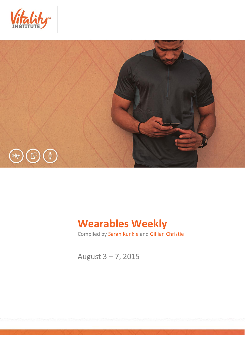



# **Wearables Weekly**

Compiled by Sarah Kunkle and Gillian Christie

August 3 – 7, 2015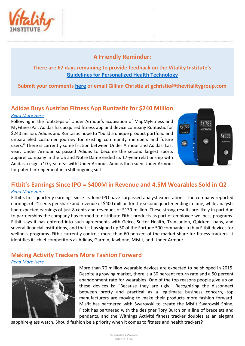

## **A Friendly Reminder:**

## **There are 67 days remaining to provide feedback on the Vitality Institute's [Guidelines for Personalized Health Technology](http://thevitalityinstitute.org/site/wp-content/uploads/2015/07/Responsibility-Guidelines-for-Personalized-Health-Technology.pdf)**

**Submit your comments [here](http://thevitalityinstitute.org/projects/personalized-health-technology/public-consultation/) or email Gillian Christie at [gchristie@thevitalitygroup.com](mailto:gchristie@thevitalitygroup.com?subject=Wearables%20Weekly%20Feedback)**

### **Adidas Buys Austrian Fitness App Runtastic for \$240 Million** *[Read More Here](http://mobihealthnews.com/45842/adidas-buys-austrian-fitness-app-runtastic-for-240-million/)*

Following in the footsteps of Under Armour's acquisition of MapMyFitness and MyFitnessPal, Adidas has acquired fitness app and device company Runtastic for \$240 million. Adidas and Runtastic hope to "build a unique product portfolio and unparalleled customer journey for existing community members and future users." There is currently some friction between Under Armour and Adidas: Last year, Under Armour surpassed Adidas to become the second largest sports apparel company in the US and Notre Dame ended its 17-year relationship with Adidas to sign a 10-year deal with Under Armour. Adidas then sued Under Armour for patent infringement in a still-ongoing suit.



# **Fitbit's Earnings Since IPO = \$400M in Revenue and 4.5M Wearables Sold in Q2**

#### *[Read More Here](http://venturebeat.com/2015/08/05/fitbits-first-earnings-since-ipo-reveals-400m-in-revenue-and-4-5m-wearables-sold-in-q2/)*

Fitbit's first quarterly earnings since its June IPO have surpassed analyst expectations. The company reported earnings of 21 cents per share and revenue of \$400 million for the second quarter ending in June, while analysts had expected earnings of just 8 cents and revenues of \$139 million. These strong results are likely in part due to partnerships the company has formed to distribute Fitbit products as part of employee wellness programs. Fitbit says it has entered into such agreements with Geico, Sutter Health, Transunion, Quicken Loans, and several financial institutions, and that it has signed up 50 of the Fortune 500 companies to buy Fitbit devices for wellness programs. Fitbit currently controls more than 60 percent of the market share for fitness trackers. It identifies its chief competitors as Adidas, Garmin, Jawbone, Misfit, and Under Armour.

## **Making Activity Trackers More Fashion Forward**

*[Read More Here](http://well.blogs.nytimes.com/2015/08/04/making-activity-trackers-more-fashion-forward/?_r=0)* 



More than 70 million wearable devices are expected to be shipped in 2015. Despite a growing market, there is a 30 percent return rate and a 50 percent abandonment rate for wearables. One of the top reasons people give up on these devices is: "Because they are ugly." Recognizing the disconnect between pretty and practical as a legitimate business concern, top manufacturers are moving to make their products more fashion forward. Misfit has partnered with Swarovski to create the Misfit Swarovski Shine, Fitbit has partnered with the designer Tory Burch on a line of bracelets and pendants, and the Withings Activité fitness tracker doubles as an elegant

sapphire-glass watch. Should fashion be a priority when it comes to fitness and health trackers?